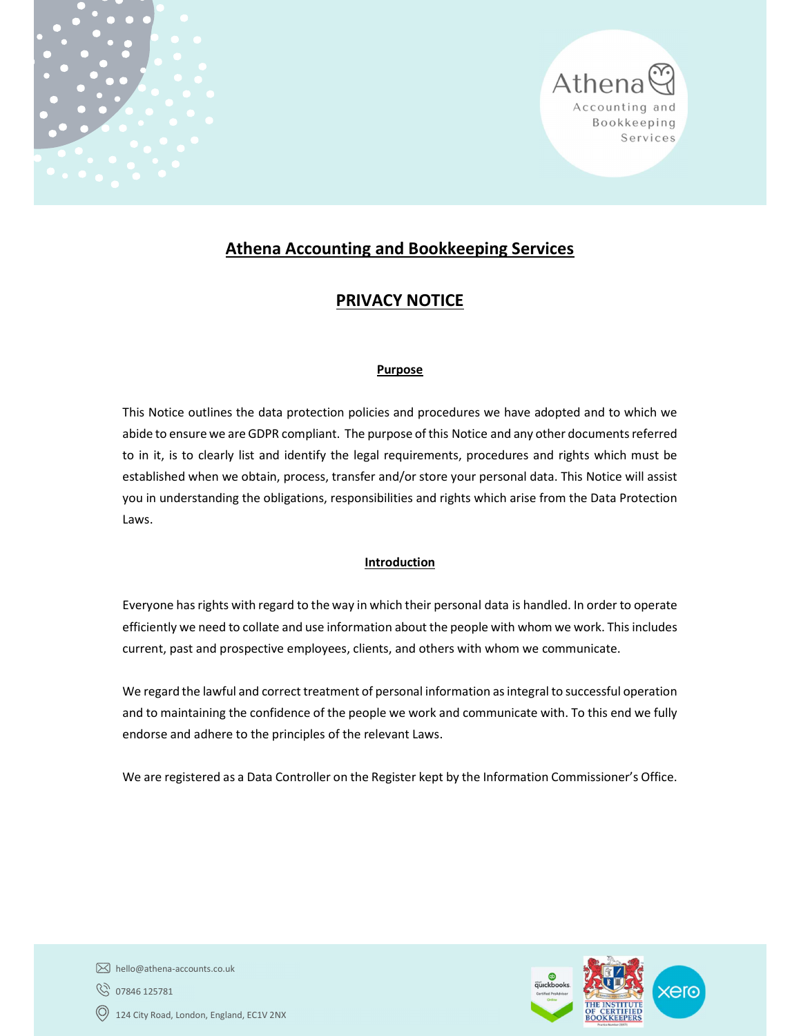



# Athena Accounting and Bookkeeping Services

# PRIVACY NOTICE

# Purpose

This Notice outlines the data protection policies and procedures we have adopted and to which we abide to ensure we are GDPR compliant. The purpose of this Notice and any other documents referred to in it, is to clearly list and identify the legal requirements, procedures and rights which must be established when we obtain, process, transfer and/or store your personal data. This Notice will assist you in understanding the obligations, responsibilities and rights which arise from the Data Protection Laws.

# Introduction

Everyone has rights with regard to the way in which their personal data is handled. In order to operate efficiently we need to collate and use information about the people with whom we work. This includes current, past and prospective employees, clients, and others with whom we communicate.

We regard the lawful and correct treatment of personal information as integral to successful operation and to maintaining the confidence of the people we work and communicate with. To this end we fully endorse and adhere to the principles of the relevant Laws.

We are registered as a Data Controller on the Register kept by the Information Commissioner's Office.



hello@athena-accounts.co.uk **8** 07846 125781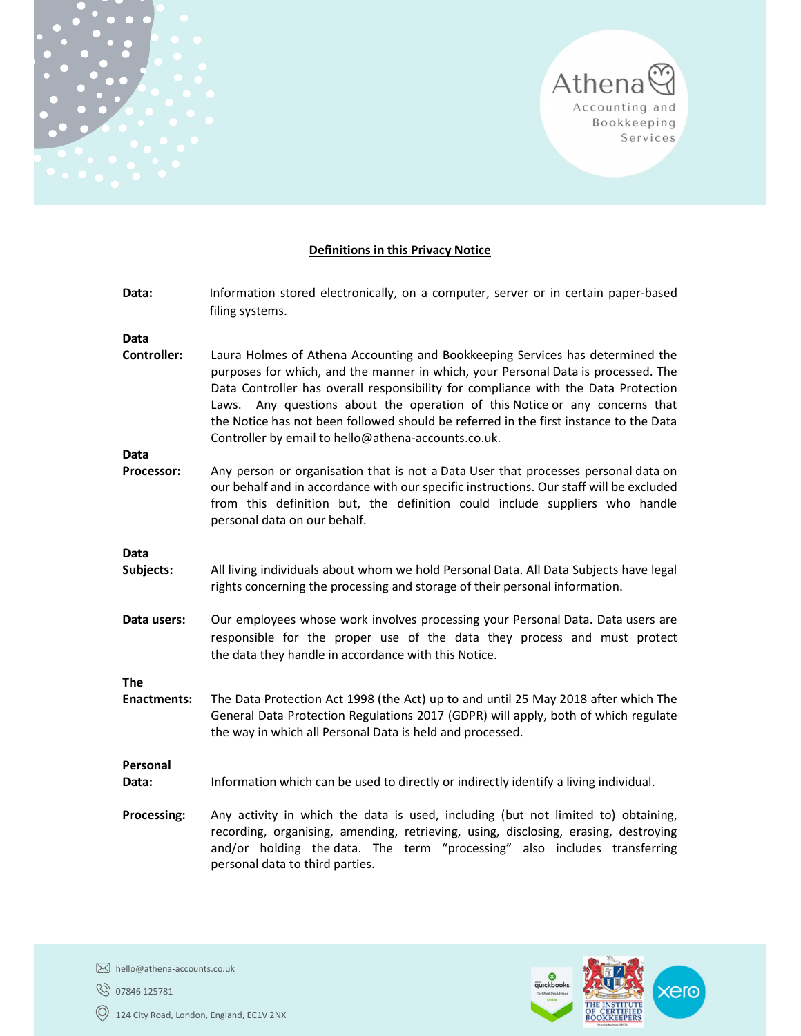

# Definitions in this Privacy Notice

| Data:                      | Information stored electronically, on a computer, server or in certain paper-based<br>filing systems.                                                                                                                                                                                                                                                                                                                                                                                   |
|----------------------------|-----------------------------------------------------------------------------------------------------------------------------------------------------------------------------------------------------------------------------------------------------------------------------------------------------------------------------------------------------------------------------------------------------------------------------------------------------------------------------------------|
| Data<br><b>Controller:</b> |                                                                                                                                                                                                                                                                                                                                                                                                                                                                                         |
|                            | Laura Holmes of Athena Accounting and Bookkeeping Services has determined the<br>purposes for which, and the manner in which, your Personal Data is processed. The<br>Data Controller has overall responsibility for compliance with the Data Protection<br>Laws. Any questions about the operation of this Notice or any concerns that<br>the Notice has not been followed should be referred in the first instance to the Data<br>Controller by email to hello@athena-accounts.co.uk. |
| Data                       |                                                                                                                                                                                                                                                                                                                                                                                                                                                                                         |
| Processor:                 | Any person or organisation that is not a Data User that processes personal data on<br>our behalf and in accordance with our specific instructions. Our staff will be excluded<br>from this definition but, the definition could include suppliers who handle<br>personal data on our behalf.                                                                                                                                                                                            |
| <b>Data</b>                |                                                                                                                                                                                                                                                                                                                                                                                                                                                                                         |
| Subjects:                  | All living individuals about whom we hold Personal Data. All Data Subjects have legal<br>rights concerning the processing and storage of their personal information.                                                                                                                                                                                                                                                                                                                    |
| Data users:                | Our employees whose work involves processing your Personal Data. Data users are<br>responsible for the proper use of the data they process and must protect<br>the data they handle in accordance with this Notice.                                                                                                                                                                                                                                                                     |
| <b>The</b>                 |                                                                                                                                                                                                                                                                                                                                                                                                                                                                                         |
| <b>Enactments:</b>         | The Data Protection Act 1998 (the Act) up to and until 25 May 2018 after which The<br>General Data Protection Regulations 2017 (GDPR) will apply, both of which regulate<br>the way in which all Personal Data is held and processed.                                                                                                                                                                                                                                                   |
| Personal                   |                                                                                                                                                                                                                                                                                                                                                                                                                                                                                         |
| Data:                      | Information which can be used to directly or indirectly identify a living individual.                                                                                                                                                                                                                                                                                                                                                                                                   |
| <b>Processing:</b>         | Any activity in which the data is used, including (but not limited to) obtaining,<br>recording, organising, amending, retrieving, using, disclosing, erasing, destroying<br>and/or holding the data. The term "processing" also includes transferring<br>personal data to third parties.                                                                                                                                                                                                |

**8** 07846 125781



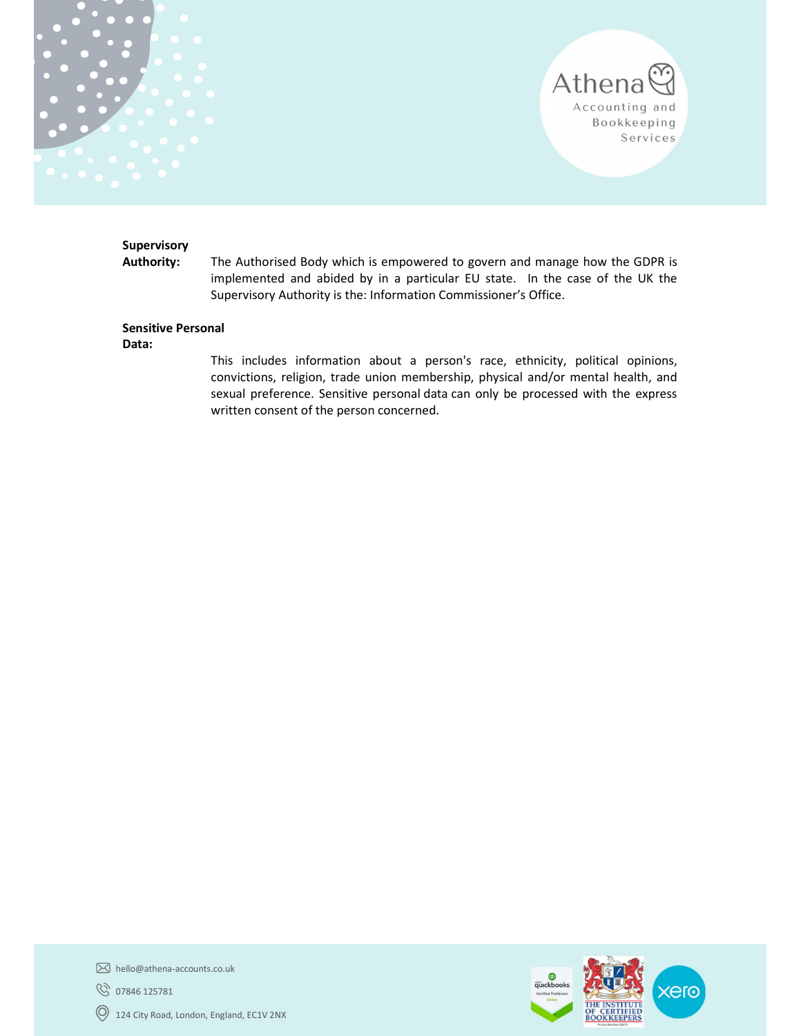



# **Supervisory**

Authority: The Authorised Body which is empowered to govern and manage how the GDPR is implemented and abided by in a particular EU state. In the case of the UK the Supervisory Authority is the: Information Commissioner's Office.

#### Sensitive Personal

Data:

This includes information about a person's race, ethnicity, political opinions, convictions, religion, trade union membership, physical and/or mental health, and sexual preference. Sensitive personal data can only be processed with the express written consent of the person concerned.



hello@athena-accounts.co.uk

**8** 07846 125781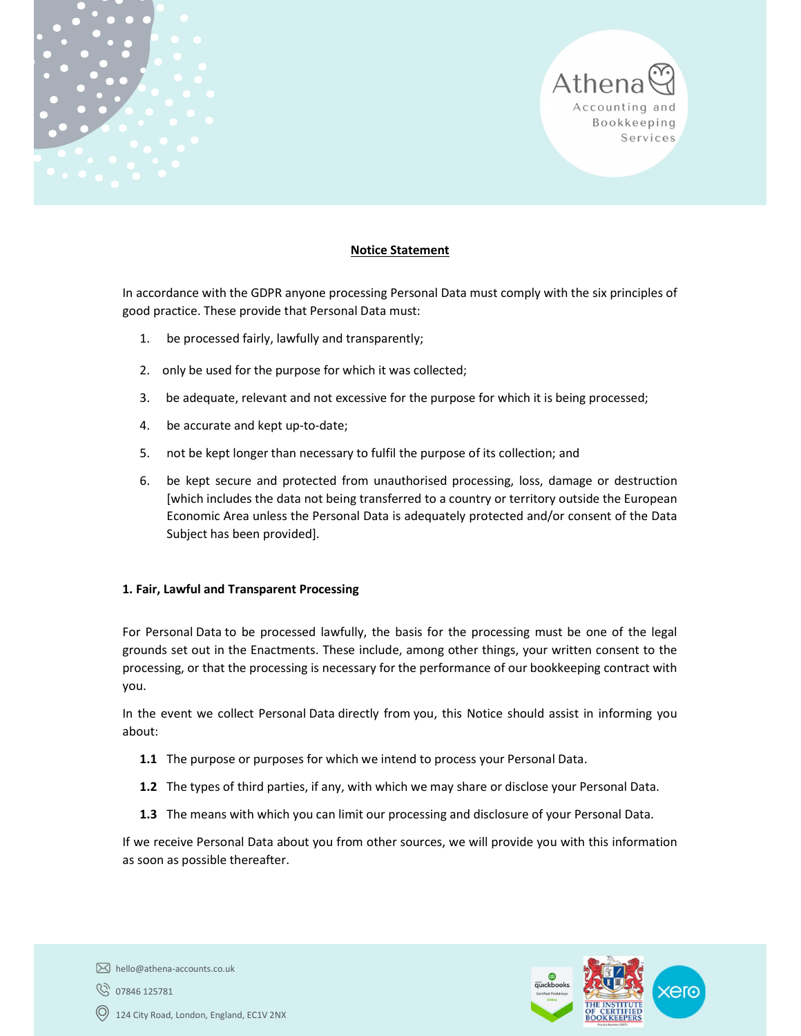



#### Notice Statement

In accordance with the GDPR anyone processing Personal Data must comply with the six principles of good practice. These provide that Personal Data must:

- 1. be processed fairly, lawfully and transparently;
- 2. only be used for the purpose for which it was collected;
- 3. be adequate, relevant and not excessive for the purpose for which it is being processed;
- 4. be accurate and kept up-to-date;
- 5. not be kept longer than necessary to fulfil the purpose of its collection; and
- 6. be kept secure and protected from unauthorised processing, loss, damage or destruction [which includes the data not being transferred to a country or territory outside the European Economic Area unless the Personal Data is adequately protected and/or consent of the Data Subject has been provided].

#### 1. Fair, Lawful and Transparent Processing

For Personal Data to be processed lawfully, the basis for the processing must be one of the legal grounds set out in the Enactments. These include, among other things, your written consent to the processing, or that the processing is necessary for the performance of our bookkeeping contract with you.

In the event we collect Personal Data directly from you, this Notice should assist in informing you about:

- 1.1 The purpose or purposes for which we intend to process your Personal Data.
- 1.2 The types of third parties, if any, with which we may share or disclose your Personal Data.
- 1.3 The means with which you can limit our processing and disclosure of your Personal Data.

If we receive Personal Data about you from other sources, we will provide you with this information as soon as possible thereafter.



hello@athena-accounts.co.uk

07846 125781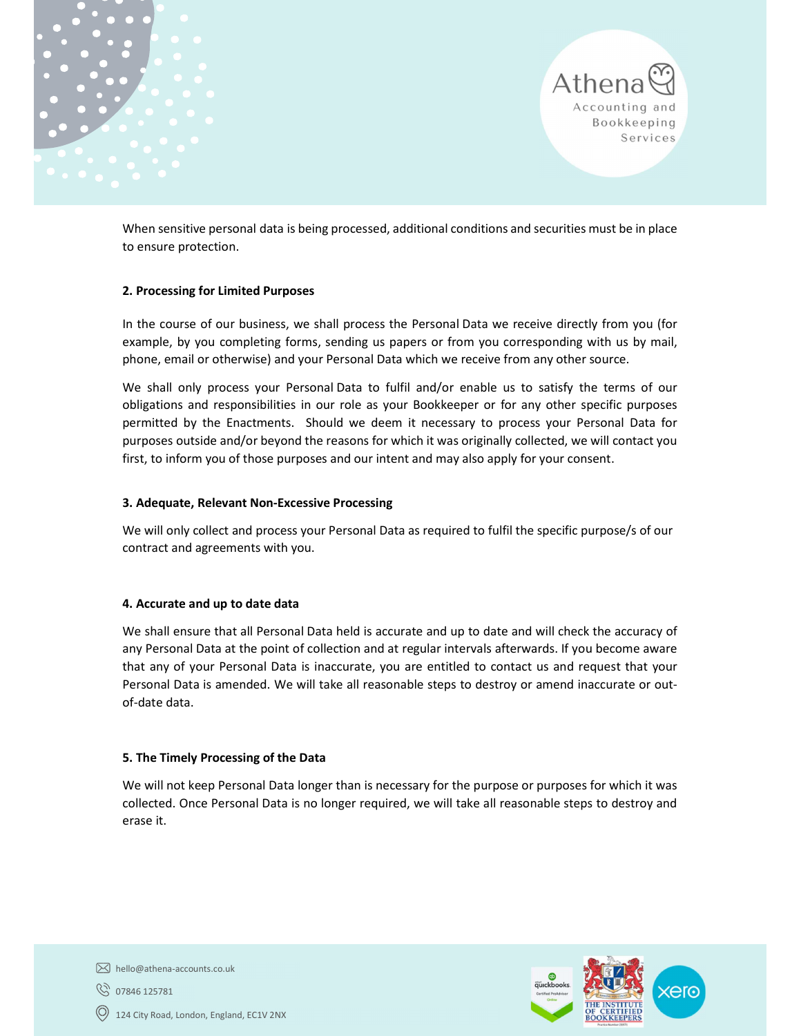



When sensitive personal data is being processed, additional conditions and securities must be in place to ensure protection.

### 2. Processing for Limited Purposes

In the course of our business, we shall process the Personal Data we receive directly from you (for example, by you completing forms, sending us papers or from you corresponding with us by mail, phone, email or otherwise) and your Personal Data which we receive from any other source.

We shall only process your Personal Data to fulfil and/or enable us to satisfy the terms of our obligations and responsibilities in our role as your Bookkeeper or for any other specific purposes permitted by the Enactments. Should we deem it necessary to process your Personal Data for purposes outside and/or beyond the reasons for which it was originally collected, we will contact you first, to inform you of those purposes and our intent and may also apply for your consent.

#### 3. Adequate, Relevant Non-Excessive Processing

We will only collect and process your Personal Data as required to fulfil the specific purpose/s of our contract and agreements with you.

#### 4. Accurate and up to date data

We shall ensure that all Personal Data held is accurate and up to date and will check the accuracy of any Personal Data at the point of collection and at regular intervals afterwards. If you become aware that any of your Personal Data is inaccurate, you are entitled to contact us and request that your Personal Data is amended. We will take all reasonable steps to destroy or amend inaccurate or outof-date data.

# 5. The Timely Processing of the Data

We will not keep Personal Data longer than is necessary for the purpose or purposes for which it was collected. Once Personal Data is no longer required, we will take all reasonable steps to destroy and erase it.



hello@athena-accounts.co.uk

07846 125781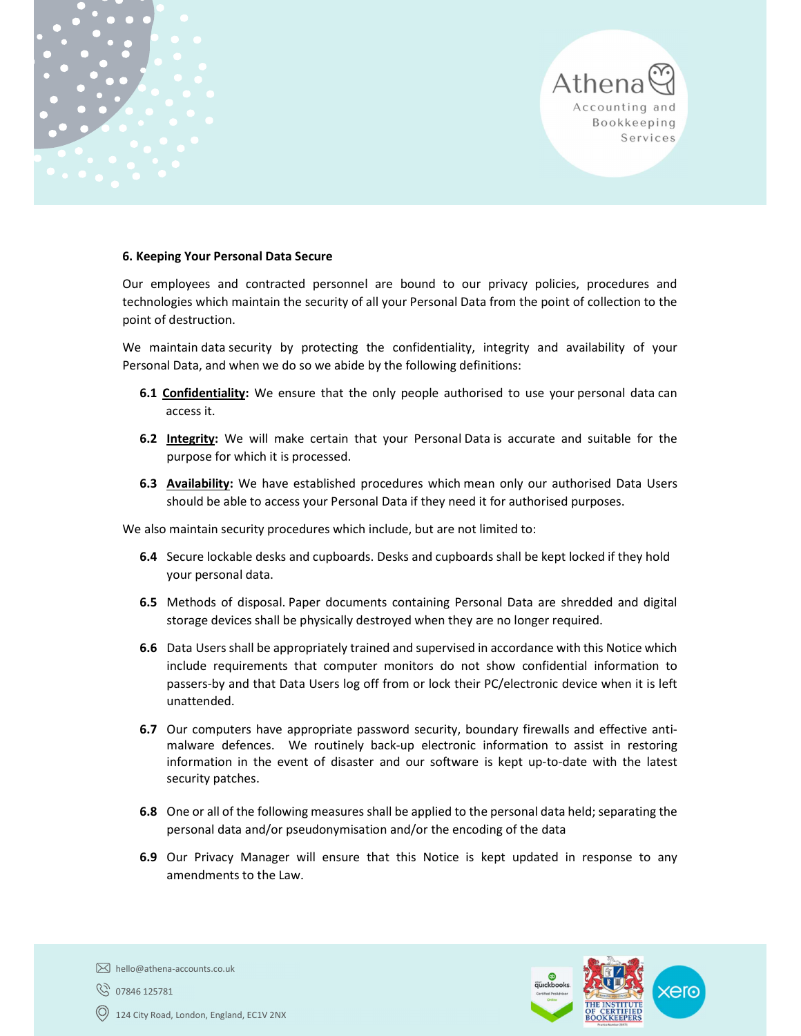



#### 6. Keeping Your Personal Data Secure

Our employees and contracted personnel are bound to our privacy policies, procedures and technologies which maintain the security of all your Personal Data from the point of collection to the point of destruction.

We maintain data security by protecting the confidentiality, integrity and availability of your Personal Data, and when we do so we abide by the following definitions:

- **6.1 Confidentiality:** We ensure that the only people authorised to use your personal data can access it.
- 6.2 Integrity: We will make certain that your Personal Data is accurate and suitable for the purpose for which it is processed.
- 6.3 Availability: We have established procedures which mean only our authorised Data Users should be able to access your Personal Data if they need it for authorised purposes.

We also maintain security procedures which include, but are not limited to:

- 6.4 Secure lockable desks and cupboards. Desks and cupboards shall be kept locked if they hold your personal data.
- 6.5 Methods of disposal. Paper documents containing Personal Data are shredded and digital storage devices shall be physically destroyed when they are no longer required.
- 6.6 Data Users shall be appropriately trained and supervised in accordance with this Notice which include requirements that computer monitors do not show confidential information to passers-by and that Data Users log off from or lock their PC/electronic device when it is left unattended.
- 6.7 Our computers have appropriate password security, boundary firewalls and effective antimalware defences. We routinely back-up electronic information to assist in restoring information in the event of disaster and our software is kept up-to-date with the latest security patches.
- 6.8 One or all of the following measures shall be applied to the personal data held; separating the personal data and/or pseudonymisation and/or the encoding of the data
- 6.9 Our Privacy Manager will ensure that this Notice is kept updated in response to any amendments to the Law.



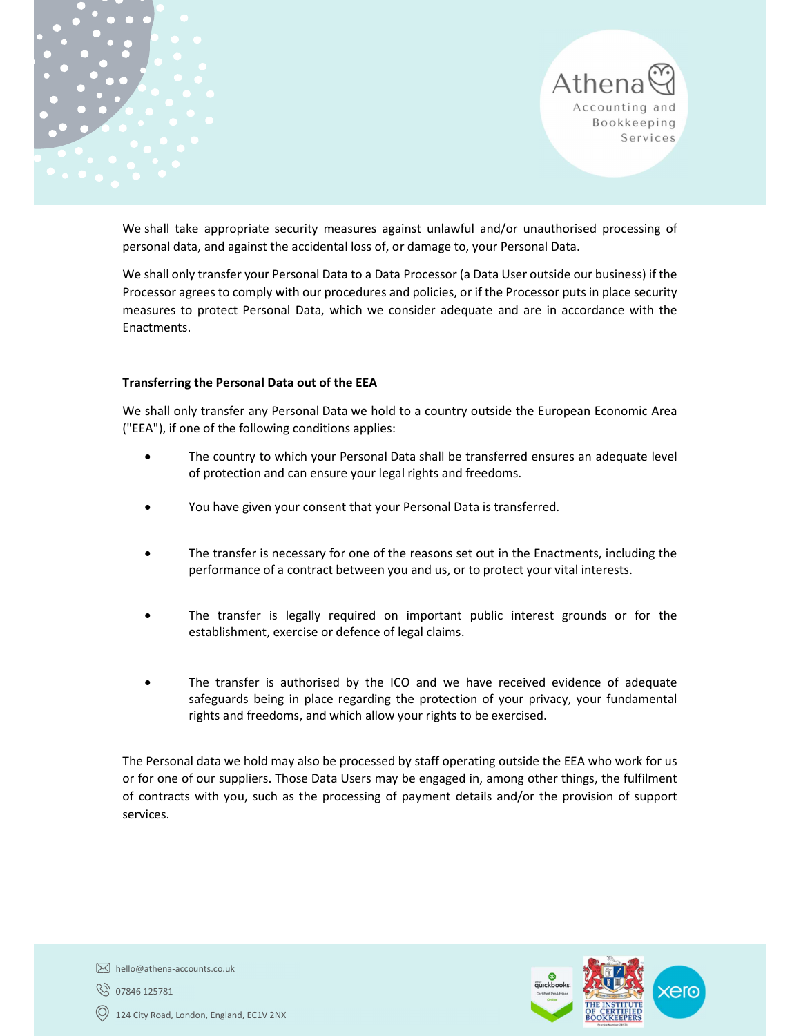



We shall take appropriate security measures against unlawful and/or unauthorised processing of personal data, and against the accidental loss of, or damage to, your Personal Data.

We shall only transfer your Personal Data to a Data Processor (a Data User outside our business) if the Processor agrees to comply with our procedures and policies, or if the Processor puts in place security measures to protect Personal Data, which we consider adequate and are in accordance with the Enactments.

#### Transferring the Personal Data out of the EEA

We shall only transfer any Personal Data we hold to a country outside the European Economic Area ("EEA"), if one of the following conditions applies:

- The country to which your Personal Data shall be transferred ensures an adequate level of protection and can ensure your legal rights and freedoms.
- You have given your consent that your Personal Data is transferred.
- The transfer is necessary for one of the reasons set out in the Enactments, including the performance of a contract between you and us, or to protect your vital interests.
- The transfer is legally required on important public interest grounds or for the establishment, exercise or defence of legal claims.
- The transfer is authorised by the ICO and we have received evidence of adequate safeguards being in place regarding the protection of your privacy, your fundamental rights and freedoms, and which allow your rights to be exercised.

The Personal data we hold may also be processed by staff operating outside the EEA who work for us or for one of our suppliers. Those Data Users may be engaged in, among other things, the fulfilment of contracts with you, such as the processing of payment details and/or the provision of support services.



hello@athena-accounts.co.uk

**8** 07846 125781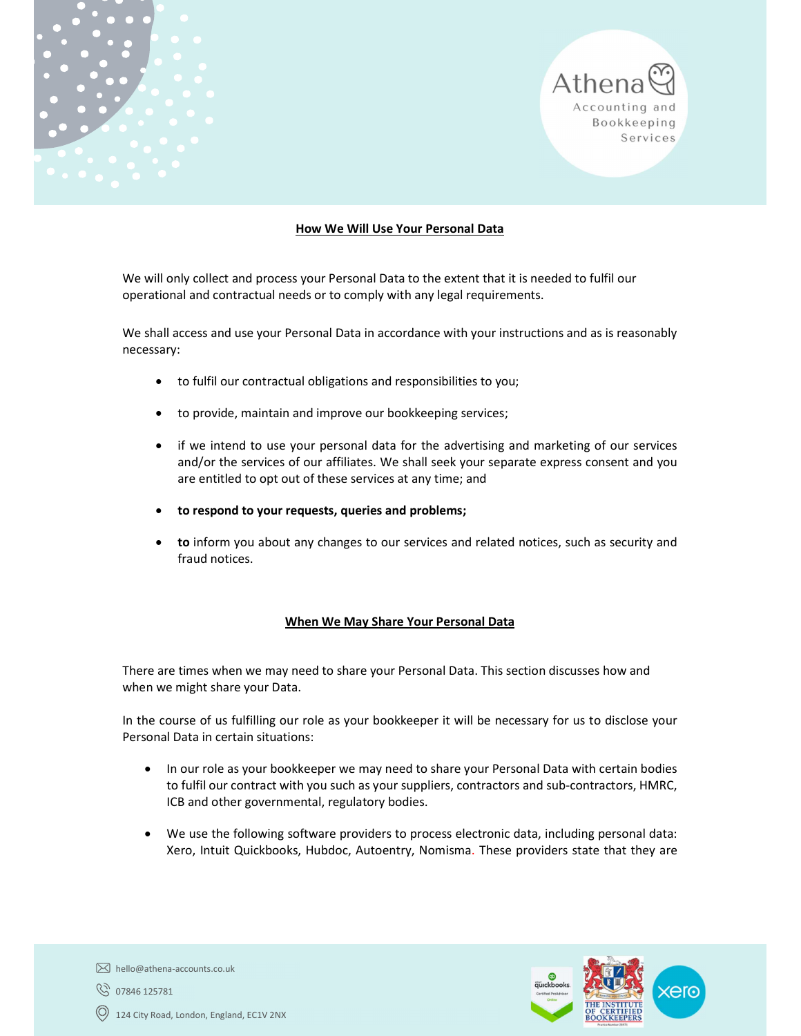



#### How We Will Use Your Personal Data

We will only collect and process your Personal Data to the extent that it is needed to fulfil our operational and contractual needs or to comply with any legal requirements.

We shall access and use your Personal Data in accordance with your instructions and as is reasonably necessary:

- to fulfil our contractual obligations and responsibilities to you;
- to provide, maintain and improve our bookkeeping services;
- if we intend to use your personal data for the advertising and marketing of our services and/or the services of our affiliates. We shall seek your separate express consent and you are entitled to opt out of these services at any time; and
- to respond to your requests, queries and problems;
- to inform you about any changes to our services and related notices, such as security and fraud notices.

#### When We May Share Your Personal Data

There are times when we may need to share your Personal Data. This section discusses how and when we might share your Data.

In the course of us fulfilling our role as your bookkeeper it will be necessary for us to disclose your Personal Data in certain situations:

- In our role as your bookkeeper we may need to share your Personal Data with certain bodies to fulfil our contract with you such as your suppliers, contractors and sub-contractors, HMRC, ICB and other governmental, regulatory bodies.
- We use the following software providers to process electronic data, including personal data: Xero, Intuit Quickbooks, Hubdoc, Autoentry, Nomisma. These providers state that they are



 $[\overline{\times}]$  hello@athena-accounts.co.uk 07846 125781 124 City Road, London, England, EC1V 2NX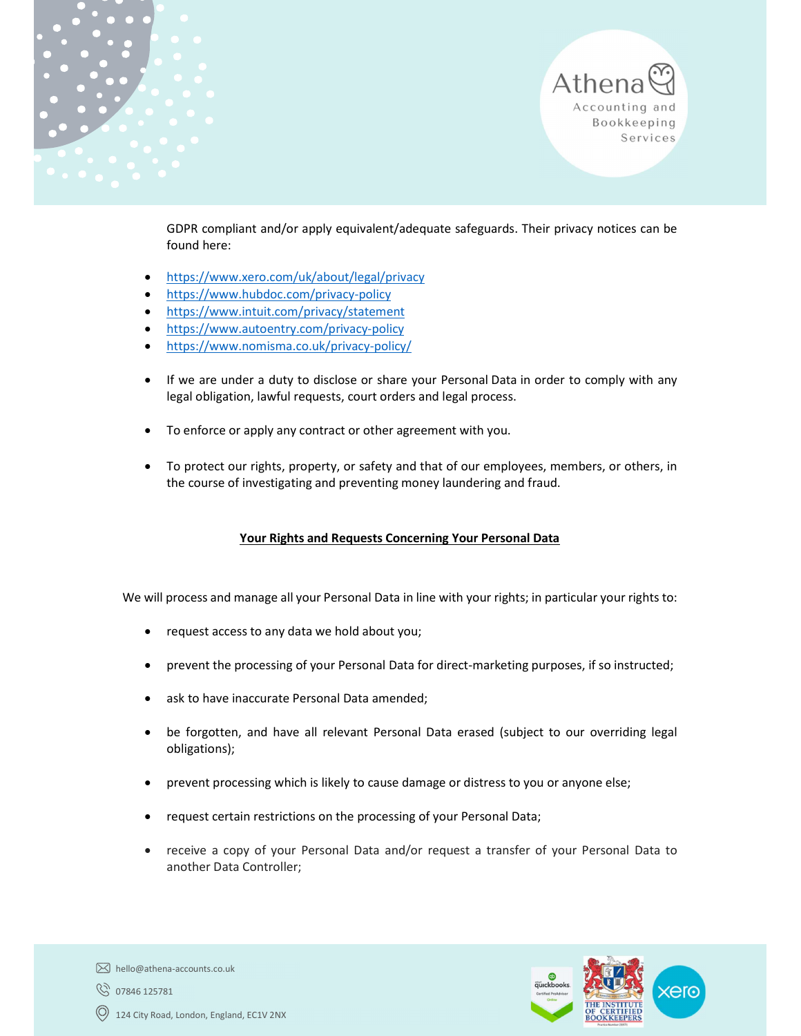



GDPR compliant and/or apply equivalent/adequate safeguards. Their privacy notices can be found here:

- https://www.xero.com/uk/about/legal/privacy
- https://www.hubdoc.com/privacy-policy
- https://www.intuit.com/privacy/statement
- https://www.autoentry.com/privacy-policy
- https://www.nomisma.co.uk/privacy-policy/
- If we are under a duty to disclose or share your Personal Data in order to comply with any legal obligation, lawful requests, court orders and legal process.
- To enforce or apply any contract or other agreement with you.
- To protect our rights, property, or safety and that of our employees, members, or others, in the course of investigating and preventing money laundering and fraud.

# Your Rights and Requests Concerning Your Personal Data

We will process and manage all your Personal Data in line with your rights; in particular your rights to:

- request access to any data we hold about you;
- prevent the processing of your Personal Data for direct-marketing purposes, if so instructed;
- ask to have inaccurate Personal Data amended;
- be forgotten, and have all relevant Personal Data erased (subject to our overriding legal obligations);
- prevent processing which is likely to cause damage or distress to you or anyone else;
- request certain restrictions on the processing of your Personal Data;
- receive a copy of your Personal Data and/or request a transfer of your Personal Data to another Data Controller;



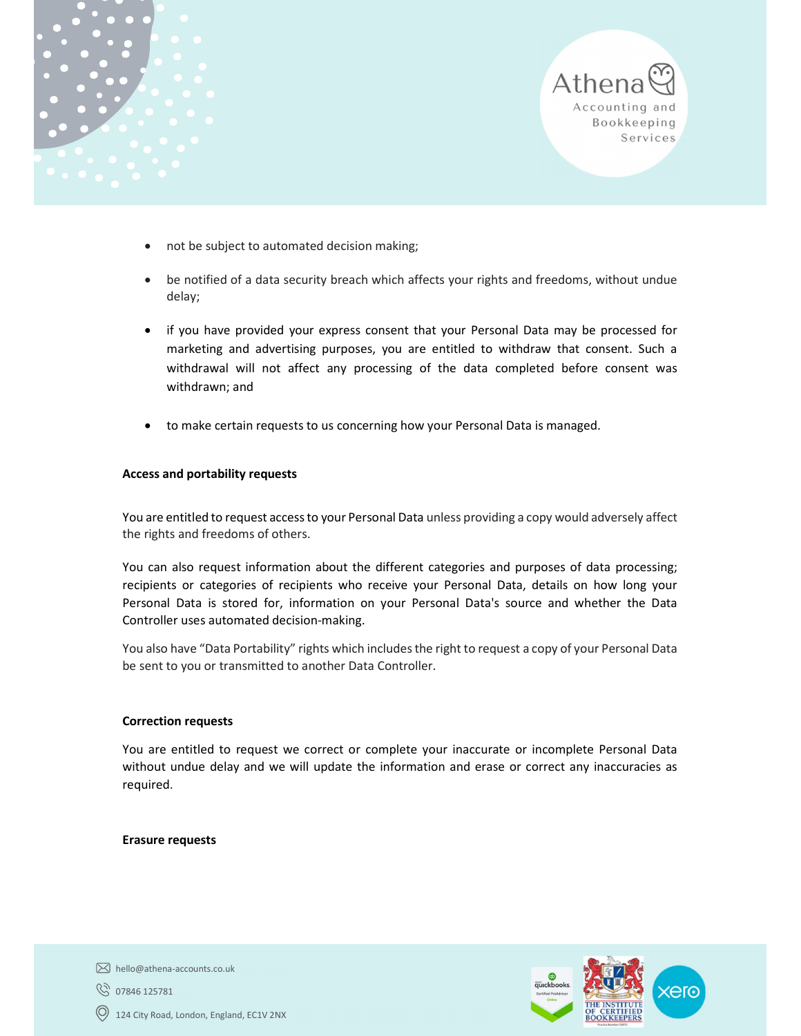



- not be subject to automated decision making;
- be notified of a data security breach which affects your rights and freedoms, without undue delay;
- if you have provided your express consent that your Personal Data may be processed for marketing and advertising purposes, you are entitled to withdraw that consent. Such a withdrawal will not affect any processing of the data completed before consent was withdrawn; and
- to make certain requests to us concerning how your Personal Data is managed.

#### Access and portability requests

You are entitled to request access to your Personal Data unless providing a copy would adversely affect the rights and freedoms of others.

You can also request information about the different categories and purposes of data processing; recipients or categories of recipients who receive your Personal Data, details on how long your Personal Data is stored for, information on your Personal Data's source and whether the Data Controller uses automated decision-making.

You also have "Data Portability" rights which includes the right to request a copy of your Personal Data be sent to you or transmitted to another Data Controller.

#### Correction requests

You are entitled to request we correct or complete your inaccurate or incomplete Personal Data without undue delay and we will update the information and erase or correct any inaccuracies as required.

#### Erasure requests



hello@athena-accounts.co.uk

07846 125781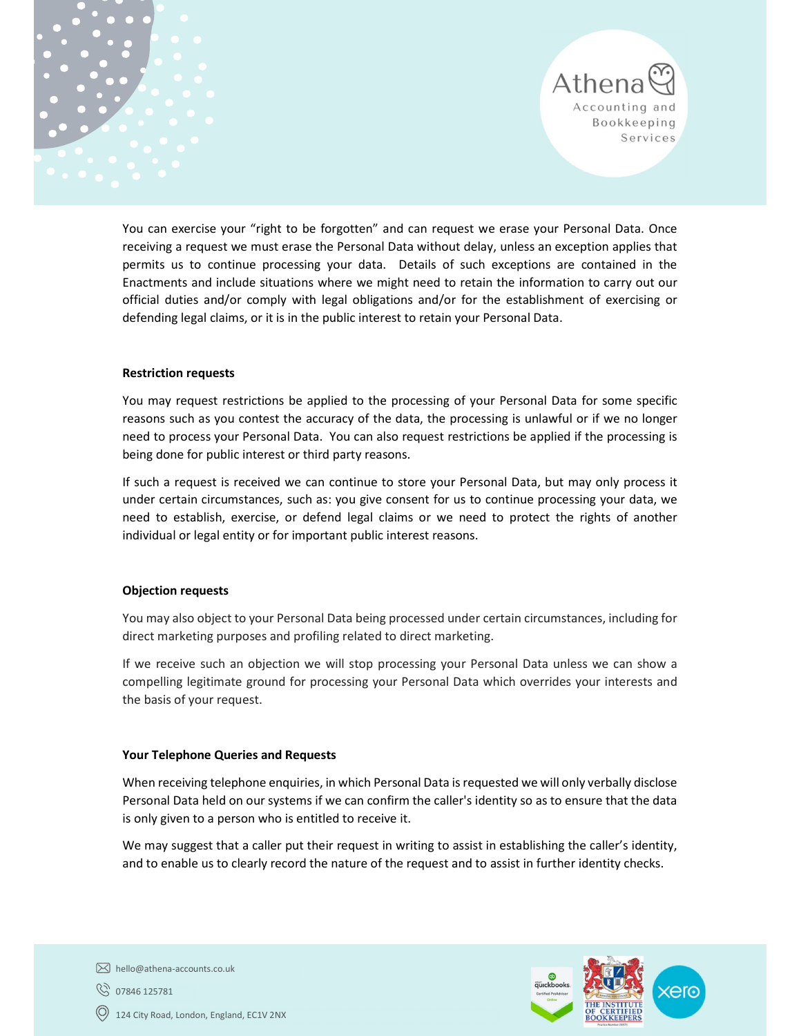



You can exercise your "right to be forgotten" and can request we erase your Personal Data. Once receiving a request we must erase the Personal Data without delay, unless an exception applies that permits us to continue processing your data. Details of such exceptions are contained in the Enactments and include situations where we might need to retain the information to carry out our official duties and/or comply with legal obligations and/or for the establishment of exercising or defending legal claims, or it is in the public interest to retain your Personal Data.

#### Restriction requests

You may request restrictions be applied to the processing of your Personal Data for some specific reasons such as you contest the accuracy of the data, the processing is unlawful or if we no longer need to process your Personal Data. You can also request restrictions be applied if the processing is being done for public interest or third party reasons.

If such a request is received we can continue to store your Personal Data, but may only process it under certain circumstances, such as: you give consent for us to continue processing your data, we need to establish, exercise, or defend legal claims or we need to protect the rights of another individual or legal entity or for important public interest reasons.

#### Objection requests

You may also object to your Personal Data being processed under certain circumstances, including for direct marketing purposes and profiling related to direct marketing.

If we receive such an objection we will stop processing your Personal Data unless we can show a compelling legitimate ground for processing your Personal Data which overrides your interests and the basis of your request.

#### Your Telephone Queries and Requests

When receiving telephone enquiries, in which Personal Data is requested we will only verbally disclose Personal Data held on our systems if we can confirm the caller's identity so as to ensure that the data is only given to a person who is entitled to receive it.

We may suggest that a caller put their request in writing to assist in establishing the caller's identity, and to enable us to clearly record the nature of the request and to assist in further identity checks.



hello@athena-accounts.co.uk

**8** 07846 125781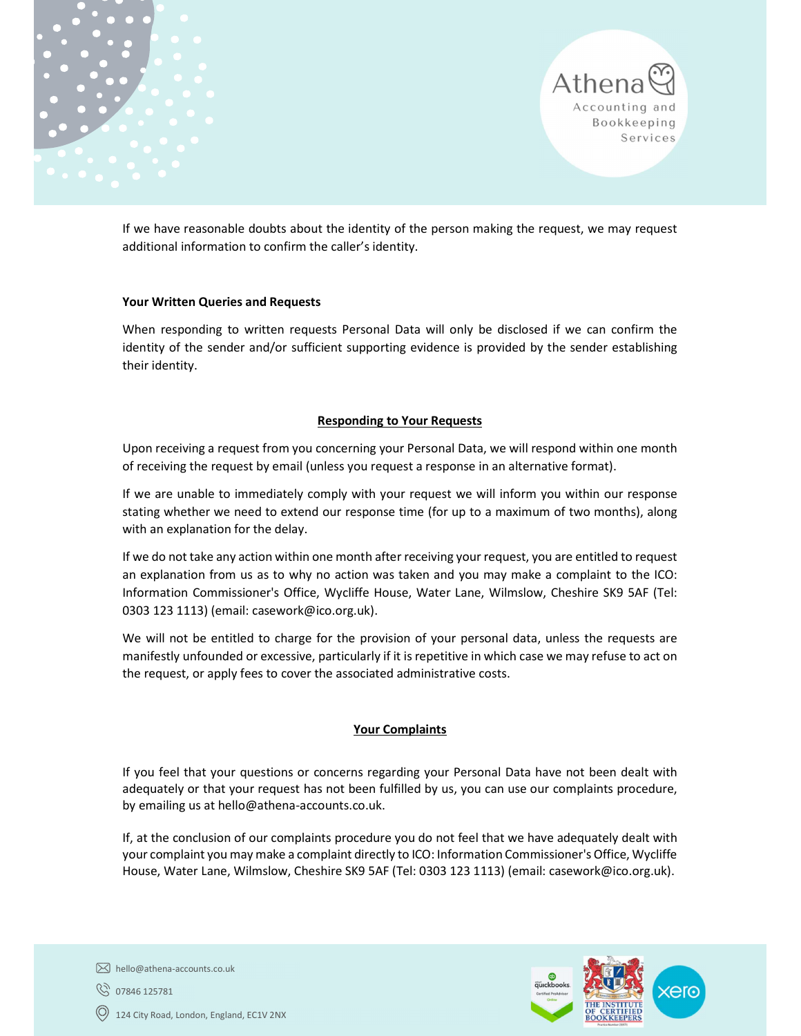



If we have reasonable doubts about the identity of the person making the request, we may request additional information to confirm the caller's identity.

#### Your Written Queries and Requests

When responding to written requests Personal Data will only be disclosed if we can confirm the identity of the sender and/or sufficient supporting evidence is provided by the sender establishing their identity.

#### Responding to Your Requests

Upon receiving a request from you concerning your Personal Data, we will respond within one month of receiving the request by email (unless you request a response in an alternative format).

If we are unable to immediately comply with your request we will inform you within our response stating whether we need to extend our response time (for up to a maximum of two months), along with an explanation for the delay.

If we do not take any action within one month after receiving your request, you are entitled to request an explanation from us as to why no action was taken and you may make a complaint to the ICO: Information Commissioner's Office, Wycliffe House, Water Lane, Wilmslow, Cheshire SK9 5AF (Tel: 0303 123 1113) (email: casework@ico.org.uk).

We will not be entitled to charge for the provision of your personal data, unless the requests are manifestly unfounded or excessive, particularly if it is repetitive in which case we may refuse to act on the request, or apply fees to cover the associated administrative costs.

#### Your Complaints

If you feel that your questions or concerns regarding your Personal Data have not been dealt with adequately or that your request has not been fulfilled by us, you can use our complaints procedure, by emailing us at hello@athena-accounts.co.uk.

If, at the conclusion of our complaints procedure you do not feel that we have adequately dealt with your complaint you may make a complaint directly to ICO: Information Commissioner's Office, Wycliffe House, Water Lane, Wilmslow, Cheshire SK9 5AF (Tel: 0303 123 1113) (email: casework@ico.org.uk).



07846 125781